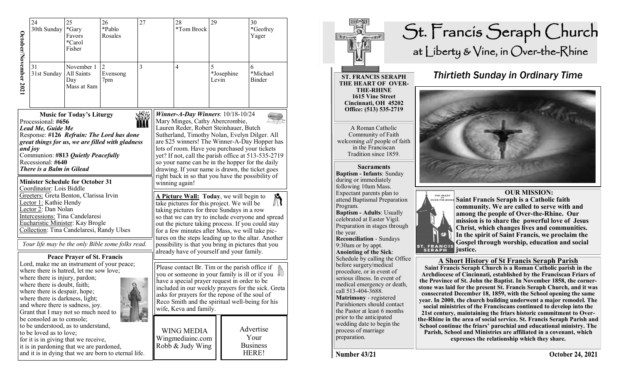|                                                                                                                                                                                                                                                                                                                                                                                                                                                                                                                                                                                                                                                                                                                                                                                                                                                                                                                                                                                 | 24<br>30th Sunday                                                   | 26<br>25<br>*Gary<br>*Pablo<br>Favors<br>Rosales<br>*Carol<br>Fisher                                                                                                            |                                   | 27 |                                                                                                                                                                                                                                                                                                                                                                                                                                                                                                       | 28<br>*Tom Brock                                          | 29         |            | 30<br>*Geofrey<br>Yager                       |
|---------------------------------------------------------------------------------------------------------------------------------------------------------------------------------------------------------------------------------------------------------------------------------------------------------------------------------------------------------------------------------------------------------------------------------------------------------------------------------------------------------------------------------------------------------------------------------------------------------------------------------------------------------------------------------------------------------------------------------------------------------------------------------------------------------------------------------------------------------------------------------------------------------------------------------------------------------------------------------|---------------------------------------------------------------------|---------------------------------------------------------------------------------------------------------------------------------------------------------------------------------|-----------------------------------|----|-------------------------------------------------------------------------------------------------------------------------------------------------------------------------------------------------------------------------------------------------------------------------------------------------------------------------------------------------------------------------------------------------------------------------------------------------------------------------------------------------------|-----------------------------------------------------------|------------|------------|-----------------------------------------------|
| October/November 2021                                                                                                                                                                                                                                                                                                                                                                                                                                                                                                                                                                                                                                                                                                                                                                                                                                                                                                                                                           | 31<br>November 1<br>All Saints<br>31st Sunday<br>Day<br>Mass at 8am |                                                                                                                                                                                 | $\overline{c}$<br>Evensong<br>7pm | 3  |                                                                                                                                                                                                                                                                                                                                                                                                                                                                                                       | $\overline{4}$                                            | 5<br>Levin | *Josephine | 6<br>*Michael<br>Binder                       |
| <b>Music for Today's Liturgy</b><br>Processional: #656<br>Lead Me, Guide Me<br>Response: #126 Refrain: The Lord has done<br>great things for us, we are filled with gladness<br>and joy<br>Communion: #813 Quietly Peacefully<br>Recessional: #640<br>There is a Balm in Gilead<br><b>Minister Schedule for October 31</b><br>Coordinator: Lois Biddle<br>Greeters: Greta Benton, Clarissa Irvin<br>Lector 1: Kathie Hendy<br>Lector 2: Dan Nolan<br>Intercessions: Tina Candelaresi<br>Eucharistic Minister: Kay Brogle<br>Collection: Tina Candelaresi, Randy Ulses<br>Your life may be the only Bible some folks read.<br><b>Peace Prayer of St. Francis</b><br>Lord, make me an instrument of your peace;<br>where there is hatred, let me sow love;<br>where there is injury, pardon;<br>where there is doubt, faith;<br>Q<br>where there is despair, hope;<br>where there is darkness, light;<br>and where there is sadness, joy.<br>Grant that I may not so much need to |                                                                     |                                                                                                                                                                                 |                                   |    | Winner-A-Day Winners: 10/18-10/24<br>Mary Minges, Cathy Abercrombie,<br>Lauren Reder, Robert Steinhauer, Butch<br>Sutherland, Timothy Nolan, Evelyn Dilger. All<br>are \$25 winners! The Winner-A-Day Hopper has<br>lots of room. Have you purchased your tickets<br>yet? If not, call the parish office at 513-535-2719<br>so your name can be in the hopper for the daily<br>drawing. If your name is drawn, the ticket goes<br>right back in so that you have the possibility of<br>winning again! |                                                           |            |            |                                               |
|                                                                                                                                                                                                                                                                                                                                                                                                                                                                                                                                                                                                                                                                                                                                                                                                                                                                                                                                                                                 |                                                                     |                                                                                                                                                                                 |                                   |    | A Picture Wall: Today, we will begin to<br>take pictures for this project. We will be<br>taking pictures for three Sundays in a row<br>so that we can try to include everyone and spread<br>out the picture taking process. If you could stay<br>for a few minutes after Mass, we will take pic-<br>tures on the steps leading up to the altar. Another<br>possibility is that you bring in pictures that you                                                                                         |                                                           |            |            |                                               |
|                                                                                                                                                                                                                                                                                                                                                                                                                                                                                                                                                                                                                                                                                                                                                                                                                                                                                                                                                                                 |                                                                     |                                                                                                                                                                                 |                                   |    | already have of yourself and your family.<br>Please contact Br. Tim or the parish office if<br>you or someone in your family is ill or if you<br>have a special prayer request in order to be<br>included in our weekly prayers for the sick. Greta<br>asks for prayers for the repose of the soul of<br>Reco Smith and the spiritual well-being for his<br>wife, Keva and family.                                                                                                                    |                                                           |            |            |                                               |
|                                                                                                                                                                                                                                                                                                                                                                                                                                                                                                                                                                                                                                                                                                                                                                                                                                                                                                                                                                                 | be consoled as to console;<br>to be loved as to love;               | to be understood, as to understand,<br>for it is in giving that we receive,<br>it is in pardoning that we are pardoned,<br>and it is in dying that we are born to eternal life. |                                   |    |                                                                                                                                                                                                                                                                                                                                                                                                                                                                                                       | <b>WING MEDIA</b><br>Wingmediainc.com<br>Robb & Judy Wing |            |            | Advertise<br>Your<br><b>Business</b><br>HERE! |



**Parish, School and Ministries are affiliated in a covenant, which expresses the relationship which they share.** 

Number 43/21

preparation.